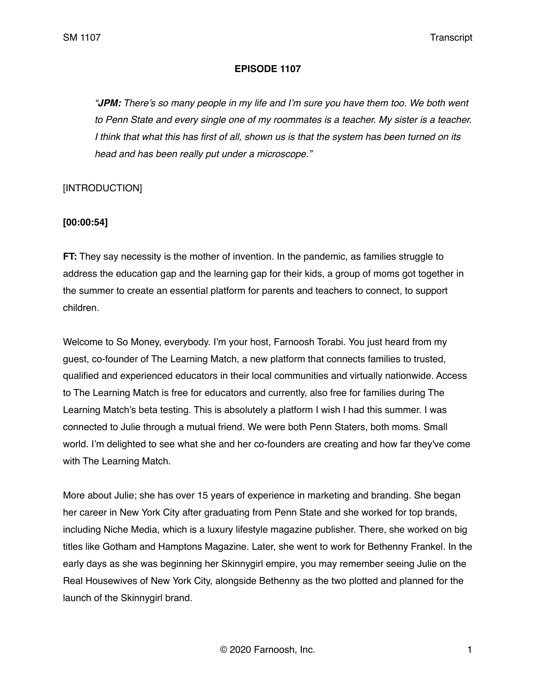#### **EPISODE 1107**

*"JPM: There's so many people in my life and I'm sure you have them too. We both went to Penn State and every single one of my roommates is a teacher. My sister is a teacher. I think that what this has first of all, shown us is that the system has been turned on its head and has been really put under a microscope."*

## [INTRODUCTION]

#### **[00:00:54]**

**FT:** They say necessity is the mother of invention. In the pandemic, as families struggle to address the education gap and the learning gap for their kids, a group of moms got together in the summer to create an essential platform for parents and teachers to connect, to support children.

Welcome to So Money, everybody. I'm your host, Farnoosh Torabi. You just heard from my guest, co-founder of The Learning Match, a new platform that connects families to trusted, qualified and experienced educators in their local communities and virtually nationwide. Access to The Learning Match is free for educators and currently, also free for families during The Learning Match's beta testing. This is absolutely a platform I wish I had this summer. I was connected to Julie through a mutual friend. We were both Penn Staters, both moms. Small world. I'm delighted to see what she and her co-founders are creating and how far they've come with The Learning Match.

More about Julie; she has over 15 years of experience in marketing and branding. She began her career in New York City after graduating from Penn State and she worked for top brands, including Niche Media, which is a luxury lifestyle magazine publisher. There, she worked on big titles like Gotham and Hamptons Magazine. Later, she went to work for Bethenny Frankel. In the early days as she was beginning her Skinnygirl empire, you may remember seeing Julie on the Real Housewives of New York City, alongside Bethenny as the two plotted and planned for the launch of the Skinnygirl brand.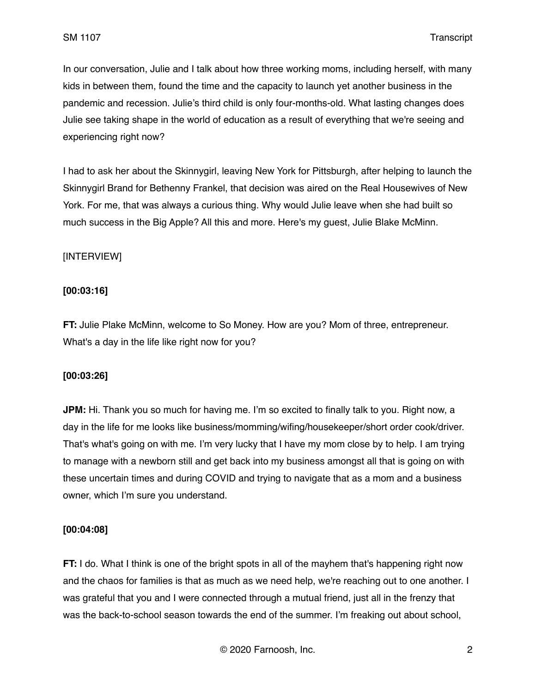In our conversation, Julie and I talk about how three working moms, including herself, with many kids in between them, found the time and the capacity to launch yet another business in the pandemic and recession. Julie's third child is only four-months-old. What lasting changes does Julie see taking shape in the world of education as a result of everything that we're seeing and experiencing right now?

I had to ask her about the Skinnygirl, leaving New York for Pittsburgh, after helping to launch the Skinnygirl Brand for Bethenny Frankel, that decision was aired on the Real Housewives of New York. For me, that was always a curious thing. Why would Julie leave when she had built so much success in the Big Apple? All this and more. Here's my guest, Julie Blake McMinn.

## [INTERVIEW]

## **[00:03:16]**

**FT:** Julie Plake McMinn, welcome to So Money. How are you? Mom of three, entrepreneur. What's a day in the life like right now for you?

### **[00:03:26]**

**JPM:** Hi. Thank you so much for having me. I'm so excited to finally talk to you. Right now, a day in the life for me looks like business/momming/wifing/housekeeper/short order cook/driver. That's what's going on with me. I'm very lucky that I have my mom close by to help. I am trying to manage with a newborn still and get back into my business amongst all that is going on with these uncertain times and during COVID and trying to navigate that as a mom and a business owner, which I'm sure you understand.

## **[00:04:08]**

**FT:** I do. What I think is one of the bright spots in all of the mayhem that's happening right now and the chaos for families is that as much as we need help, we're reaching out to one another. I was grateful that you and I were connected through a mutual friend, just all in the frenzy that was the back-to-school season towards the end of the summer. I'm freaking out about school,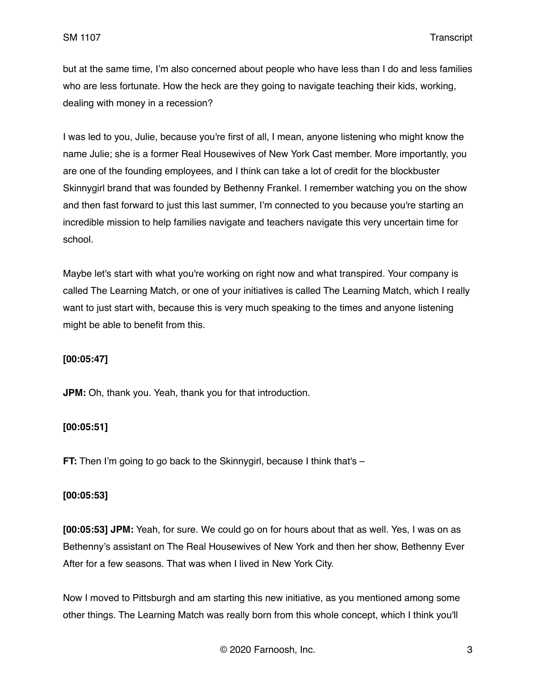but at the same time, I'm also concerned about people who have less than I do and less families who are less fortunate. How the heck are they going to navigate teaching their kids, working, dealing with money in a recession?

I was led to you, Julie, because you're first of all, I mean, anyone listening who might know the name Julie; she is a former Real Housewives of New York Cast member. More importantly, you are one of the founding employees, and I think can take a lot of credit for the blockbuster Skinnygirl brand that was founded by Bethenny Frankel. I remember watching you on the show and then fast forward to just this last summer, I'm connected to you because you're starting an incredible mission to help families navigate and teachers navigate this very uncertain time for school.

Maybe let's start with what you're working on right now and what transpired. Your company is called The Learning Match, or one of your initiatives is called The Learning Match, which I really want to just start with, because this is very much speaking to the times and anyone listening might be able to benefit from this.

#### **[00:05:47]**

**JPM:** Oh, thank you. Yeah, thank you for that introduction.

#### **[00:05:51]**

**FT:** Then I'm going to go back to the Skinnygirl, because I think that's -

#### **[00:05:53]**

**[00:05:53] JPM:** Yeah, for sure. We could go on for hours about that as well. Yes, I was on as Bethenny's assistant on The Real Housewives of New York and then her show, Bethenny Ever After for a few seasons. That was when I lived in New York City.

Now I moved to Pittsburgh and am starting this new initiative, as you mentioned among some other things. The Learning Match was really born from this whole concept, which I think you'll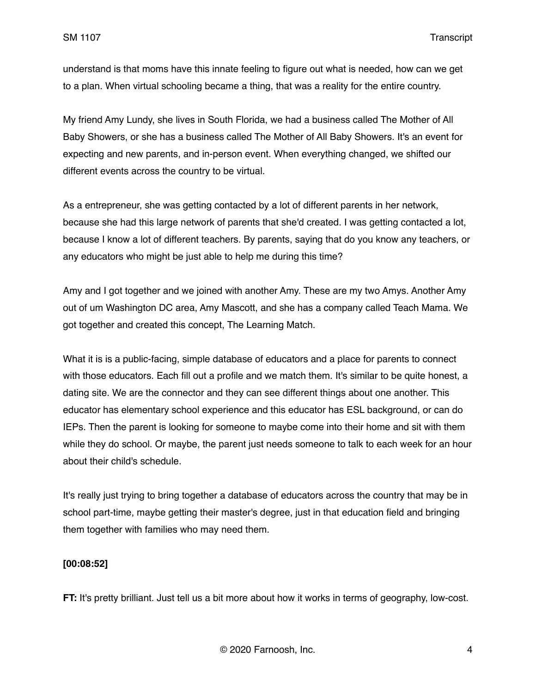understand is that moms have this innate feeling to figure out what is needed, how can we get to a plan. When virtual schooling became a thing, that was a reality for the entire country.

My friend Amy Lundy, she lives in South Florida, we had a business called The Mother of All Baby Showers, or she has a business called The Mother of All Baby Showers. It's an event for expecting and new parents, and in-person event. When everything changed, we shifted our different events across the country to be virtual.

As a entrepreneur, she was getting contacted by a lot of different parents in her network, because she had this large network of parents that she'd created. I was getting contacted a lot, because I know a lot of different teachers. By parents, saying that do you know any teachers, or any educators who might be just able to help me during this time?

Amy and I got together and we joined with another Amy. These are my two Amys. Another Amy out of um Washington DC area, Amy Mascott, and she has a company called Teach Mama. We got together and created this concept, The Learning Match.

What it is is a public-facing, simple database of educators and a place for parents to connect with those educators. Each fill out a profile and we match them. It's similar to be quite honest, a dating site. We are the connector and they can see different things about one another. This educator has elementary school experience and this educator has ESL background, or can do IEPs. Then the parent is looking for someone to maybe come into their home and sit with them while they do school. Or maybe, the parent just needs someone to talk to each week for an hour about their child's schedule.

It's really just trying to bring together a database of educators across the country that may be in school part-time, maybe getting their master's degree, just in that education field and bringing them together with families who may need them.

#### **[00:08:52]**

**FT:** It's pretty brilliant. Just tell us a bit more about how it works in terms of geography, low-cost.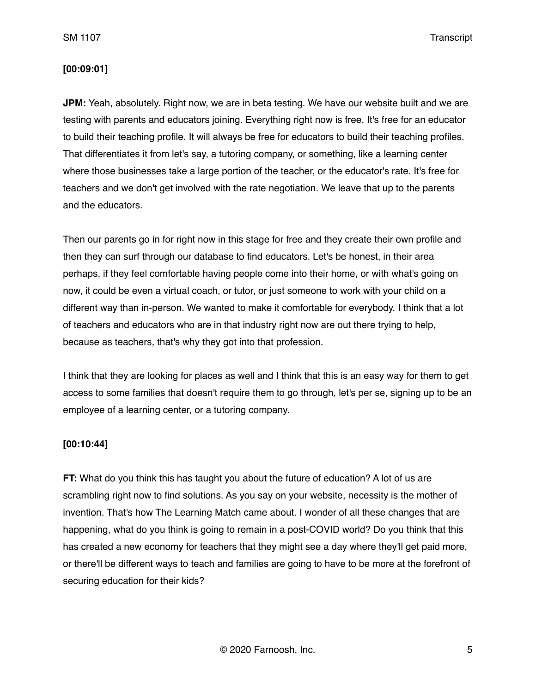#### **[00:09:01]**

**JPM:** Yeah, absolutely. Right now, we are in beta testing. We have our website built and we are testing with parents and educators joining. Everything right now is free. It's free for an educator to build their teaching profile. It will always be free for educators to build their teaching profiles. That differentiates it from let's say, a tutoring company, or something, like a learning center where those businesses take a large portion of the teacher, or the educator's rate. It's free for teachers and we don't get involved with the rate negotiation. We leave that up to the parents and the educators.

Then our parents go in for right now in this stage for free and they create their own profile and then they can surf through our database to find educators. Let's be honest, in their area perhaps, if they feel comfortable having people come into their home, or with what's going on now, it could be even a virtual coach, or tutor, or just someone to work with your child on a different way than in-person. We wanted to make it comfortable for everybody. I think that a lot of teachers and educators who are in that industry right now are out there trying to help, because as teachers, that's why they got into that profession.

I think that they are looking for places as well and I think that this is an easy way for them to get access to some families that doesn't require them to go through, let's per se, signing up to be an employee of a learning center, or a tutoring company.

#### **[00:10:44]**

**FT:** What do you think this has taught you about the future of education? A lot of us are scrambling right now to find solutions. As you say on your website, necessity is the mother of invention. That's how The Learning Match came about. I wonder of all these changes that are happening, what do you think is going to remain in a post-COVID world? Do you think that this has created a new economy for teachers that they might see a day where they'll get paid more, or there'll be different ways to teach and families are going to have to be more at the forefront of securing education for their kids?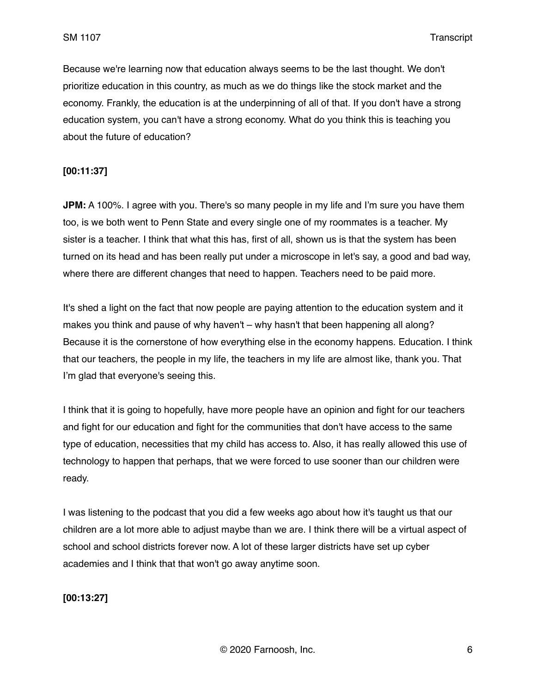Because we're learning now that education always seems to be the last thought. We don't prioritize education in this country, as much as we do things like the stock market and the economy. Frankly, the education is at the underpinning of all of that. If you don't have a strong education system, you can't have a strong economy. What do you think this is teaching you about the future of education?

#### **[00:11:37]**

**JPM:** A 100%. I agree with you. There's so many people in my life and I'm sure you have them too, is we both went to Penn State and every single one of my roommates is a teacher. My sister is a teacher. I think that what this has, first of all, shown us is that the system has been turned on its head and has been really put under a microscope in let's say, a good and bad way, where there are different changes that need to happen. Teachers need to be paid more.

It's shed a light on the fact that now people are paying attention to the education system and it makes you think and pause of why haven't – why hasn't that been happening all along? Because it is the cornerstone of how everything else in the economy happens. Education. I think that our teachers, the people in my life, the teachers in my life are almost like, thank you. That I'm glad that everyone's seeing this.

I think that it is going to hopefully, have more people have an opinion and fight for our teachers and fight for our education and fight for the communities that don't have access to the same type of education, necessities that my child has access to. Also, it has really allowed this use of technology to happen that perhaps, that we were forced to use sooner than our children were ready.

I was listening to the podcast that you did a few weeks ago about how it's taught us that our children are a lot more able to adjust maybe than we are. I think there will be a virtual aspect of school and school districts forever now. A lot of these larger districts have set up cyber academies and I think that that won't go away anytime soon.

**[00:13:27]**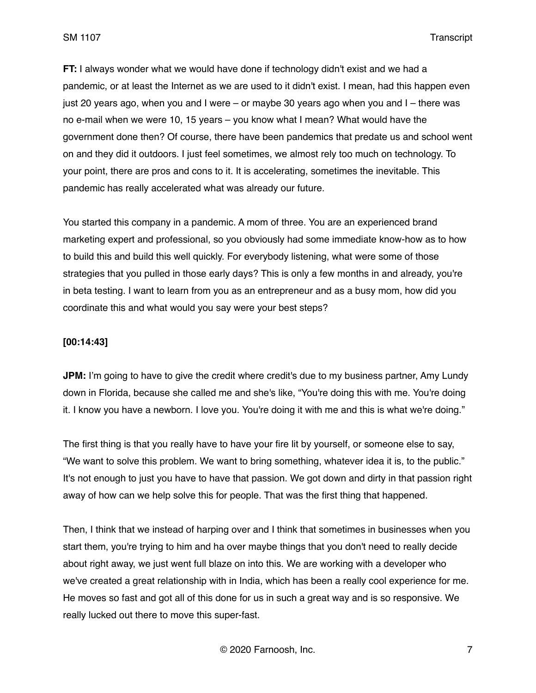**FT:** I always wonder what we would have done if technology didn't exist and we had a pandemic, or at least the Internet as we are used to it didn't exist. I mean, had this happen even just 20 years ago, when you and I were – or maybe 30 years ago when you and I – there was no e-mail when we were 10, 15 years – you know what I mean? What would have the government done then? Of course, there have been pandemics that predate us and school went on and they did it outdoors. I just feel sometimes, we almost rely too much on technology. To your point, there are pros and cons to it. It is accelerating, sometimes the inevitable. This pandemic has really accelerated what was already our future.

You started this company in a pandemic. A mom of three. You are an experienced brand marketing expert and professional, so you obviously had some immediate know-how as to how to build this and build this well quickly. For everybody listening, what were some of those strategies that you pulled in those early days? This is only a few months in and already, you're in beta testing. I want to learn from you as an entrepreneur and as a busy mom, how did you coordinate this and what would you say were your best steps?

#### **[00:14:43]**

**JPM:** I'm going to have to give the credit where credit's due to my business partner, Amy Lundy down in Florida, because she called me and she's like, "You're doing this with me. You're doing it. I know you have a newborn. I love you. You're doing it with me and this is what we're doing."

The first thing is that you really have to have your fire lit by yourself, or someone else to say, "We want to solve this problem. We want to bring something, whatever idea it is, to the public." It's not enough to just you have to have that passion. We got down and dirty in that passion right away of how can we help solve this for people. That was the first thing that happened.

Then, I think that we instead of harping over and I think that sometimes in businesses when you start them, you're trying to him and ha over maybe things that you don't need to really decide about right away, we just went full blaze on into this. We are working with a developer who we've created a great relationship with in India, which has been a really cool experience for me. He moves so fast and got all of this done for us in such a great way and is so responsive. We really lucked out there to move this super-fast.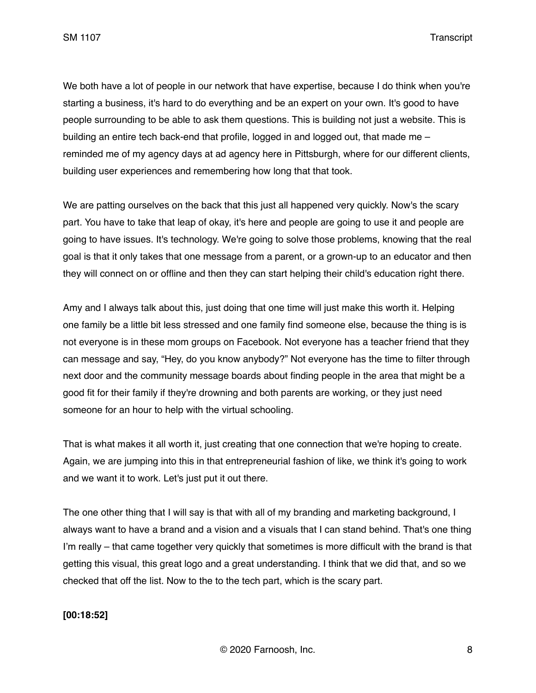We both have a lot of people in our network that have expertise, because I do think when you're starting a business, it's hard to do everything and be an expert on your own. It's good to have people surrounding to be able to ask them questions. This is building not just a website. This is building an entire tech back-end that profile, logged in and logged out, that made me – reminded me of my agency days at ad agency here in Pittsburgh, where for our different clients, building user experiences and remembering how long that that took.

We are patting ourselves on the back that this just all happened very quickly. Now's the scary part. You have to take that leap of okay, it's here and people are going to use it and people are going to have issues. It's technology. We're going to solve those problems, knowing that the real goal is that it only takes that one message from a parent, or a grown-up to an educator and then they will connect on or offline and then they can start helping their child's education right there.

Amy and I always talk about this, just doing that one time will just make this worth it. Helping one family be a little bit less stressed and one family find someone else, because the thing is is not everyone is in these mom groups on Facebook. Not everyone has a teacher friend that they can message and say, "Hey, do you know anybody?" Not everyone has the time to filter through next door and the community message boards about finding people in the area that might be a good fit for their family if they're drowning and both parents are working, or they just need someone for an hour to help with the virtual schooling.

That is what makes it all worth it, just creating that one connection that we're hoping to create. Again, we are jumping into this in that entrepreneurial fashion of like, we think it's going to work and we want it to work. Let's just put it out there.

The one other thing that I will say is that with all of my branding and marketing background, I always want to have a brand and a vision and a visuals that I can stand behind. That's one thing I'm really – that came together very quickly that sometimes is more difficult with the brand is that getting this visual, this great logo and a great understanding. I think that we did that, and so we checked that off the list. Now to the to the tech part, which is the scary part.

## **[00:18:52]**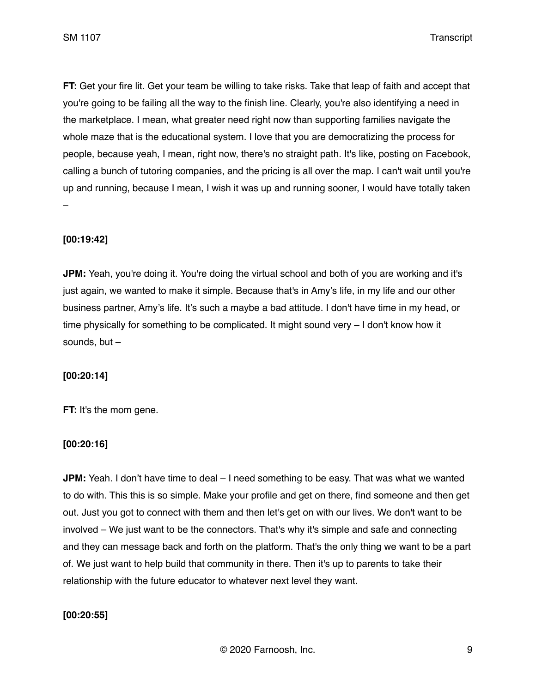**FT:** Get your fire lit. Get your team be willing to take risks. Take that leap of faith and accept that you're going to be failing all the way to the finish line. Clearly, you're also identifying a need in the marketplace. I mean, what greater need right now than supporting families navigate the whole maze that is the educational system. I love that you are democratizing the process for people, because yeah, I mean, right now, there's no straight path. It's like, posting on Facebook, calling a bunch of tutoring companies, and the pricing is all over the map. I can't wait until you're up and running, because I mean, I wish it was up and running sooner, I would have totally taken –

### **[00:19:42]**

**JPM:** Yeah, you're doing it. You're doing the virtual school and both of you are working and it's just again, we wanted to make it simple. Because that's in Amy's life, in my life and our other business partner, Amy's life. It's such a maybe a bad attitude. I don't have time in my head, or time physically for something to be complicated. It might sound very – I don't know how it sounds, but –

#### **[00:20:14]**

**FT:** It's the mom gene.

#### **[00:20:16]**

**JPM:** Yeah. I don't have time to deal – I need something to be easy. That was what we wanted to do with. This this is so simple. Make your profile and get on there, find someone and then get out. Just you got to connect with them and then let's get on with our lives. We don't want to be involved – We just want to be the connectors. That's why it's simple and safe and connecting and they can message back and forth on the platform. That's the only thing we want to be a part of. We just want to help build that community in there. Then it's up to parents to take their relationship with the future educator to whatever next level they want.

#### **[00:20:55]**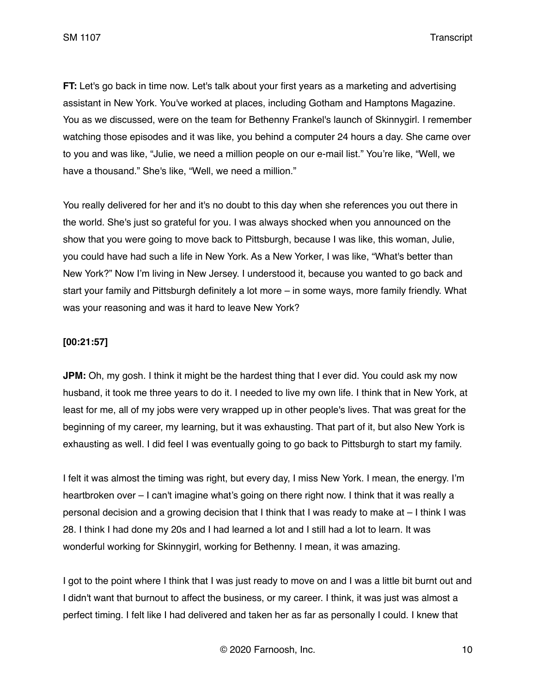**FT:** Let's go back in time now. Let's talk about your first years as a marketing and advertising assistant in New York. You've worked at places, including Gotham and Hamptons Magazine. You as we discussed, were on the team for Bethenny Frankel's launch of Skinnygirl. I remember watching those episodes and it was like, you behind a computer 24 hours a day. She came over to you and was like, "Julie, we need a million people on our e-mail list." You're like, "Well, we have a thousand." She's like, "Well, we need a million."

You really delivered for her and it's no doubt to this day when she references you out there in the world. She's just so grateful for you. I was always shocked when you announced on the show that you were going to move back to Pittsburgh, because I was like, this woman, Julie, you could have had such a life in New York. As a New Yorker, I was like, "What's better than New York?" Now I'm living in New Jersey. I understood it, because you wanted to go back and start your family and Pittsburgh definitely a lot more – in some ways, more family friendly. What was your reasoning and was it hard to leave New York?

### **[00:21:57]**

**JPM:** Oh, my gosh. I think it might be the hardest thing that I ever did. You could ask my now husband, it took me three years to do it. I needed to live my own life. I think that in New York, at least for me, all of my jobs were very wrapped up in other people's lives. That was great for the beginning of my career, my learning, but it was exhausting. That part of it, but also New York is exhausting as well. I did feel I was eventually going to go back to Pittsburgh to start my family.

I felt it was almost the timing was right, but every day, I miss New York. I mean, the energy. I'm heartbroken over - I can't imagine what's going on there right now. I think that it was really a personal decision and a growing decision that I think that I was ready to make at – I think I was 28. I think I had done my 20s and I had learned a lot and I still had a lot to learn. It was wonderful working for Skinnygirl, working for Bethenny. I mean, it was amazing.

I got to the point where I think that I was just ready to move on and I was a little bit burnt out and I didn't want that burnout to affect the business, or my career. I think, it was just was almost a perfect timing. I felt like I had delivered and taken her as far as personally I could. I knew that

© 2020 Farnoosh, Inc. 10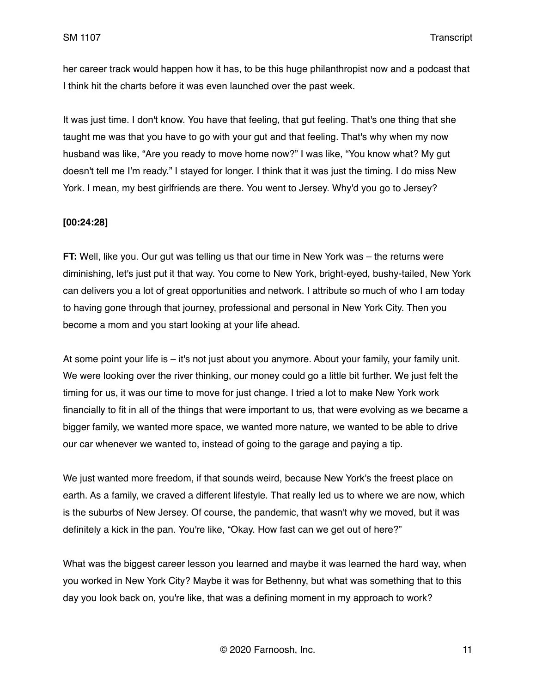her career track would happen how it has, to be this huge philanthropist now and a podcast that I think hit the charts before it was even launched over the past week.

It was just time. I don't know. You have that feeling, that gut feeling. That's one thing that she taught me was that you have to go with your gut and that feeling. That's why when my now husband was like, "Are you ready to move home now?" I was like, "You know what? My gut doesn't tell me I'm ready." I stayed for longer. I think that it was just the timing. I do miss New York. I mean, my best girlfriends are there. You went to Jersey. Why'd you go to Jersey?

#### **[00:24:28]**

**FT:** Well, like you. Our gut was telling us that our time in New York was – the returns were diminishing, let's just put it that way. You come to New York, bright-eyed, bushy-tailed, New York can delivers you a lot of great opportunities and network. I attribute so much of who I am today to having gone through that journey, professional and personal in New York City. Then you become a mom and you start looking at your life ahead.

At some point your life is – it's not just about you anymore. About your family, your family unit. We were looking over the river thinking, our money could go a little bit further. We just felt the timing for us, it was our time to move for just change. I tried a lot to make New York work financially to fit in all of the things that were important to us, that were evolving as we became a bigger family, we wanted more space, we wanted more nature, we wanted to be able to drive our car whenever we wanted to, instead of going to the garage and paying a tip.

We just wanted more freedom, if that sounds weird, because New York's the freest place on earth. As a family, we craved a different lifestyle. That really led us to where we are now, which is the suburbs of New Jersey. Of course, the pandemic, that wasn't why we moved, but it was definitely a kick in the pan. You're like, "Okay. How fast can we get out of here?"

What was the biggest career lesson you learned and maybe it was learned the hard way, when you worked in New York City? Maybe it was for Bethenny, but what was something that to this day you look back on, you're like, that was a defining moment in my approach to work?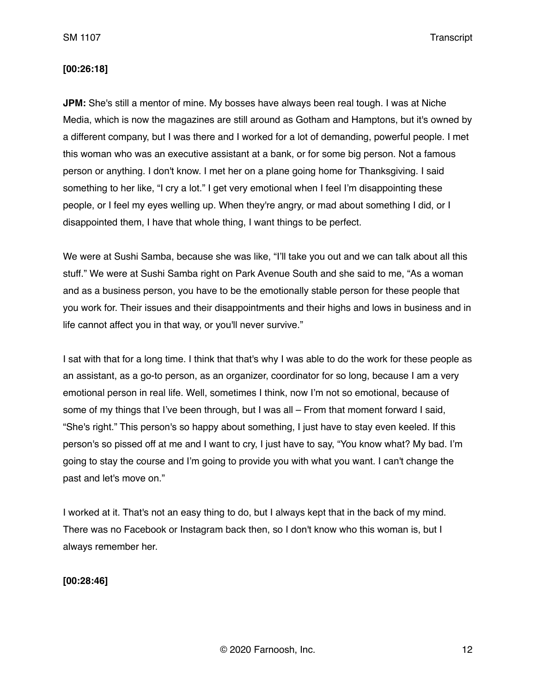#### **[00:26:18]**

**JPM:** She's still a mentor of mine. My bosses have always been real tough. I was at Niche Media, which is now the magazines are still around as Gotham and Hamptons, but it's owned by a different company, but I was there and I worked for a lot of demanding, powerful people. I met this woman who was an executive assistant at a bank, or for some big person. Not a famous person or anything. I don't know. I met her on a plane going home for Thanksgiving. I said something to her like, "I cry a lot." I get very emotional when I feel I'm disappointing these people, or I feel my eyes welling up. When they're angry, or mad about something I did, or I disappointed them, I have that whole thing, I want things to be perfect.

We were at Sushi Samba, because she was like, "I'll take you out and we can talk about all this stuff." We were at Sushi Samba right on Park Avenue South and she said to me, "As a woman and as a business person, you have to be the emotionally stable person for these people that you work for. Their issues and their disappointments and their highs and lows in business and in life cannot affect you in that way, or you'll never survive."

I sat with that for a long time. I think that that's why I was able to do the work for these people as an assistant, as a go-to person, as an organizer, coordinator for so long, because I am a very emotional person in real life. Well, sometimes I think, now I'm not so emotional, because of some of my things that I've been through, but I was all – From that moment forward I said, "She's right." This person's so happy about something, I just have to stay even keeled. If this person's so pissed off at me and I want to cry, I just have to say, "You know what? My bad. I'm going to stay the course and I'm going to provide you with what you want. I can't change the past and let's move on."

I worked at it. That's not an easy thing to do, but I always kept that in the back of my mind. There was no Facebook or Instagram back then, so I don't know who this woman is, but I always remember her.

**[00:28:46]**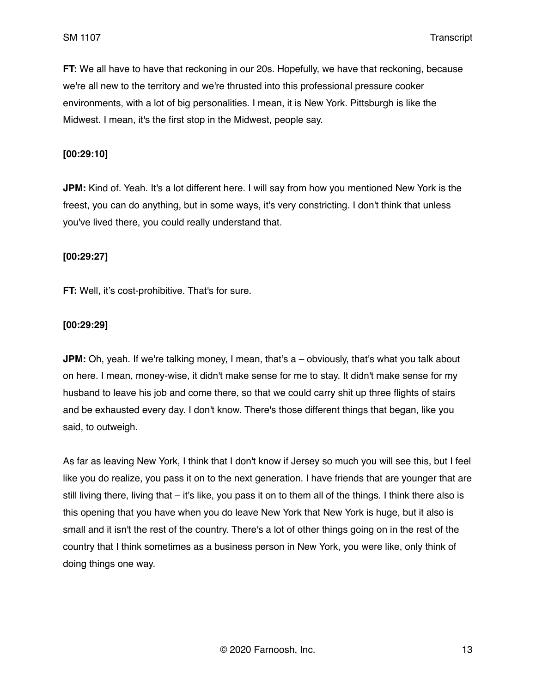**FT:** We all have to have that reckoning in our 20s. Hopefully, we have that reckoning, because we're all new to the territory and we're thrusted into this professional pressure cooker environments, with a lot of big personalities. I mean, it is New York. Pittsburgh is like the Midwest. I mean, it's the first stop in the Midwest, people say.

### **[00:29:10]**

**JPM:** Kind of. Yeah. It's a lot different here. I will say from how you mentioned New York is the freest, you can do anything, but in some ways, it's very constricting. I don't think that unless you've lived there, you could really understand that.

#### **[00:29:27]**

**FT:** Well, it's cost-prohibitive. That's for sure.

#### **[00:29:29]**

**JPM:** Oh, yeah. If we're talking money, I mean, that's a – obviously, that's what you talk about on here. I mean, money-wise, it didn't make sense for me to stay. It didn't make sense for my husband to leave his job and come there, so that we could carry shit up three flights of stairs and be exhausted every day. I don't know. There's those different things that began, like you said, to outweigh.

As far as leaving New York, I think that I don't know if Jersey so much you will see this, but I feel like you do realize, you pass it on to the next generation. I have friends that are younger that are still living there, living that – it's like, you pass it on to them all of the things. I think there also is this opening that you have when you do leave New York that New York is huge, but it also is small and it isn't the rest of the country. There's a lot of other things going on in the rest of the country that I think sometimes as a business person in New York, you were like, only think of doing things one way.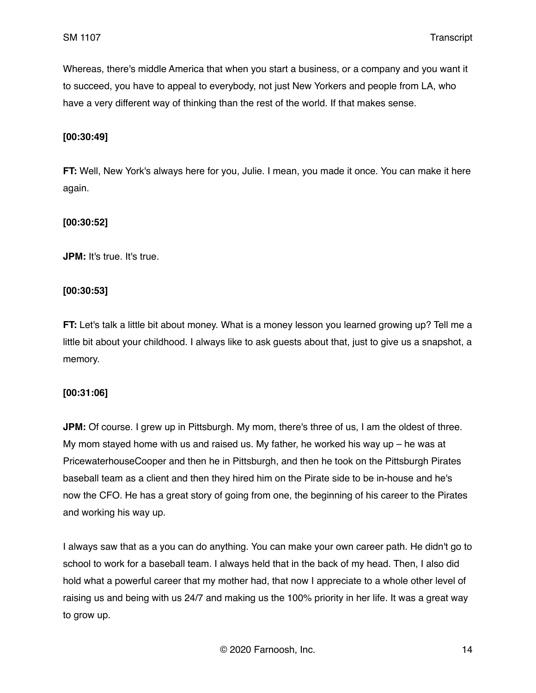Whereas, there's middle America that when you start a business, or a company and you want it to succeed, you have to appeal to everybody, not just New Yorkers and people from LA, who have a very different way of thinking than the rest of the world. If that makes sense.

## **[00:30:49]**

**FT:** Well, New York's always here for you, Julie. I mean, you made it once. You can make it here again.

#### **[00:30:52]**

**JPM:** It's true. It's true.

## **[00:30:53]**

**FT:** Let's talk a little bit about money. What is a money lesson you learned growing up? Tell me a little bit about your childhood. I always like to ask guests about that, just to give us a snapshot, a memory.

#### **[00:31:06]**

**JPM:** Of course. I grew up in Pittsburgh. My mom, there's three of us, I am the oldest of three. My mom stayed home with us and raised us. My father, he worked his way up  $-$  he was at PricewaterhouseCooper and then he in Pittsburgh, and then he took on the Pittsburgh Pirates baseball team as a client and then they hired him on the Pirate side to be in-house and he's now the CFO. He has a great story of going from one, the beginning of his career to the Pirates and working his way up.

I always saw that as a you can do anything. You can make your own career path. He didn't go to school to work for a baseball team. I always held that in the back of my head. Then, I also did hold what a powerful career that my mother had, that now I appreciate to a whole other level of raising us and being with us 24/7 and making us the 100% priority in her life. It was a great way to grow up.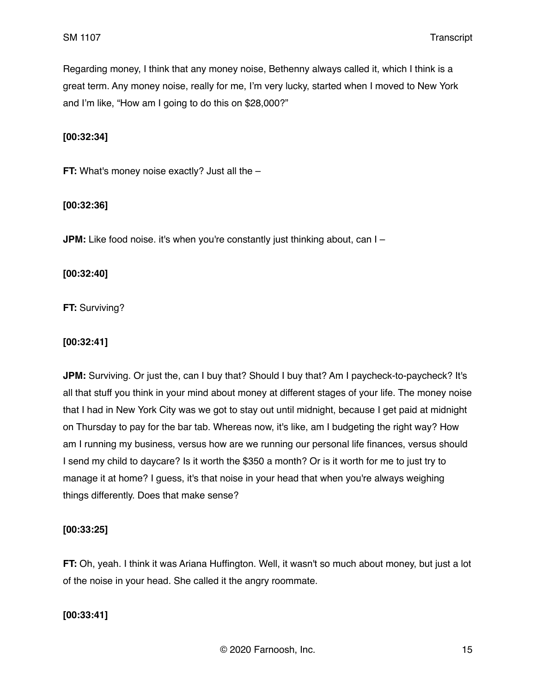Regarding money, I think that any money noise, Bethenny always called it, which I think is a great term. Any money noise, really for me, I'm very lucky, started when I moved to New York and I'm like, "How am I going to do this on \$28,000?"

## **[00:32:34]**

**FT:** What's money noise exactly? Just all the -

## **[00:32:36]**

**JPM:** Like food noise. it's when you're constantly just thinking about, can I –

## **[00:32:40]**

**FT:** Surviving?

## **[00:32:41]**

**JPM:** Surviving. Or just the, can I buy that? Should I buy that? Am I paycheck-to-paycheck? It's all that stuff you think in your mind about money at different stages of your life. The money noise that I had in New York City was we got to stay out until midnight, because I get paid at midnight on Thursday to pay for the bar tab. Whereas now, it's like, am I budgeting the right way? How am I running my business, versus how are we running our personal life finances, versus should I send my child to daycare? Is it worth the \$350 a month? Or is it worth for me to just try to manage it at home? I guess, it's that noise in your head that when you're always weighing things differently. Does that make sense?

## **[00:33:25]**

**FT:** Oh, yeah. I think it was Ariana Huffington. Well, it wasn't so much about money, but just a lot of the noise in your head. She called it the angry roommate.

## **[00:33:41]**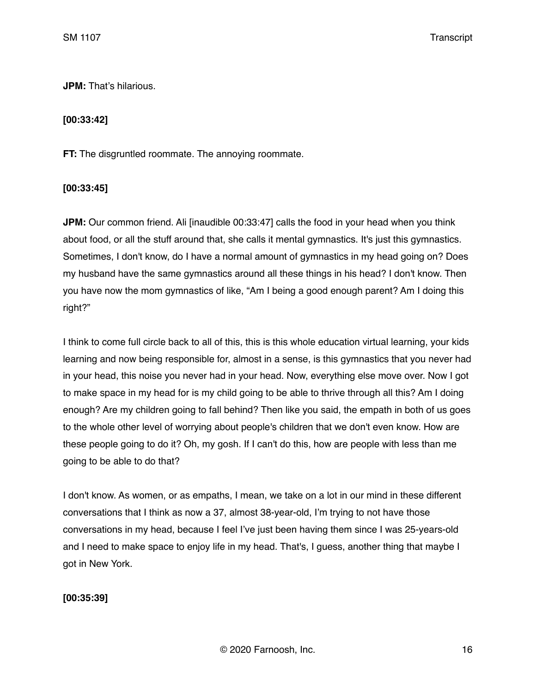**JPM:** That's hilarious.

#### **[00:33:42]**

**FT:** The disgruntled roommate. The annoying roommate.

#### **[00:33:45]**

**JPM:** Our common friend. Ali [inaudible 00:33:47] calls the food in your head when you think about food, or all the stuff around that, she calls it mental gymnastics. It's just this gymnastics. Sometimes, I don't know, do I have a normal amount of gymnastics in my head going on? Does my husband have the same gymnastics around all these things in his head? I don't know. Then you have now the mom gymnastics of like, "Am I being a good enough parent? Am I doing this right?"

I think to come full circle back to all of this, this is this whole education virtual learning, your kids learning and now being responsible for, almost in a sense, is this gymnastics that you never had in your head, this noise you never had in your head. Now, everything else move over. Now I got to make space in my head for is my child going to be able to thrive through all this? Am I doing enough? Are my children going to fall behind? Then like you said, the empath in both of us goes to the whole other level of worrying about people's children that we don't even know. How are these people going to do it? Oh, my gosh. If I can't do this, how are people with less than me going to be able to do that?

I don't know. As women, or as empaths, I mean, we take on a lot in our mind in these different conversations that I think as now a 37, almost 38-year-old, I'm trying to not have those conversations in my head, because I feel I've just been having them since I was 25-years-old and I need to make space to enjoy life in my head. That's, I guess, another thing that maybe I got in New York.

**[00:35:39]**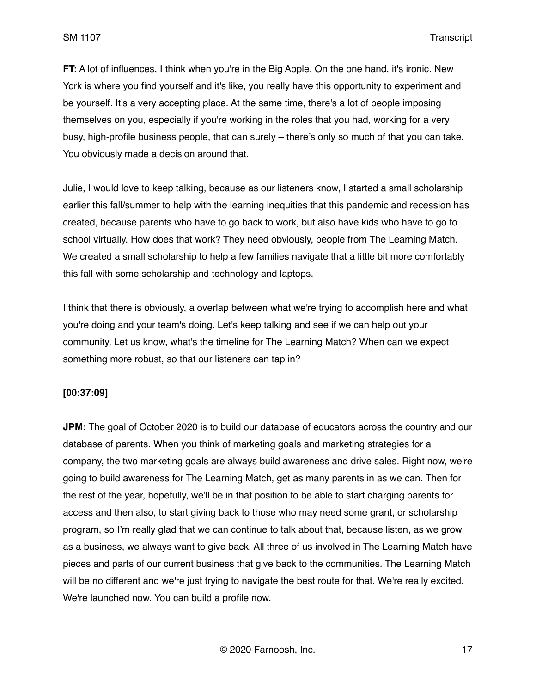**FT:** A lot of influences, I think when you're in the Big Apple. On the one hand, it's ironic. New York is where you find yourself and it's like, you really have this opportunity to experiment and be yourself. It's a very accepting place. At the same time, there's a lot of people imposing themselves on you, especially if you're working in the roles that you had, working for a very busy, high-profile business people, that can surely – there's only so much of that you can take. You obviously made a decision around that.

Julie, I would love to keep talking, because as our listeners know, I started a small scholarship earlier this fall/summer to help with the learning inequities that this pandemic and recession has created, because parents who have to go back to work, but also have kids who have to go to school virtually. How does that work? They need obviously, people from The Learning Match. We created a small scholarship to help a few families navigate that a little bit more comfortably this fall with some scholarship and technology and laptops.

I think that there is obviously, a overlap between what we're trying to accomplish here and what you're doing and your team's doing. Let's keep talking and see if we can help out your community. Let us know, what's the timeline for The Learning Match? When can we expect something more robust, so that our listeners can tap in?

#### **[00:37:09]**

**JPM:** The goal of October 2020 is to build our database of educators across the country and our database of parents. When you think of marketing goals and marketing strategies for a company, the two marketing goals are always build awareness and drive sales. Right now, we're going to build awareness for The Learning Match, get as many parents in as we can. Then for the rest of the year, hopefully, we'll be in that position to be able to start charging parents for access and then also, to start giving back to those who may need some grant, or scholarship program, so I'm really glad that we can continue to talk about that, because listen, as we grow as a business, we always want to give back. All three of us involved in The Learning Match have pieces and parts of our current business that give back to the communities. The Learning Match will be no different and we're just trying to navigate the best route for that. We're really excited. We're launched now. You can build a profile now.